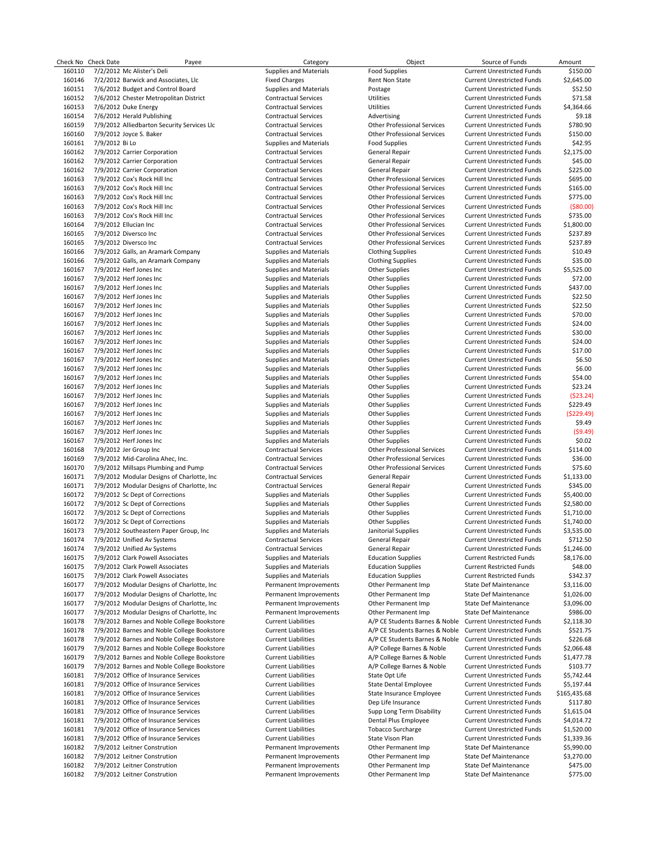|        | Check No Check Date | Payee                                       | Category                      | Object                                                    | Source of Funds                   | Amount       |
|--------|---------------------|---------------------------------------------|-------------------------------|-----------------------------------------------------------|-----------------------------------|--------------|
| 160110 |                     | 7/2/2012 Mc Alister's Deli                  | <b>Supplies and Materials</b> | <b>Food Supplies</b>                                      | <b>Current Unrestricted Funds</b> | \$150.00     |
| 160146 |                     | 7/2/2012 Barwick and Associates, Llc        | <b>Fixed Charges</b>          | Rent Non State                                            | <b>Current Unrestricted Funds</b> | \$2,645.00   |
| 160151 |                     | 7/6/2012 Budget and Control Board           | <b>Supplies and Materials</b> | Postage                                                   | <b>Current Unrestricted Funds</b> | \$52.50      |
| 160152 |                     | 7/6/2012 Chester Metropolitan District      | <b>Contractual Services</b>   | <b>Utilities</b>                                          | <b>Current Unrestricted Funds</b> | \$71.58      |
|        |                     |                                             |                               |                                                           |                                   |              |
| 160153 |                     | 7/6/2012 Duke Energy                        | <b>Contractual Services</b>   | Utilities                                                 | <b>Current Unrestricted Funds</b> | \$4,364.66   |
| 160154 |                     | 7/6/2012 Herald Publishing                  | <b>Contractual Services</b>   | Advertising                                               | <b>Current Unrestricted Funds</b> | \$9.18       |
| 160159 |                     | 7/9/2012 Alliedbarton Security Services Llc | <b>Contractual Services</b>   | <b>Other Professional Services</b>                        | <b>Current Unrestricted Funds</b> | \$780.90     |
| 160160 |                     | 7/9/2012 Joyce S. Baker                     | <b>Contractual Services</b>   | <b>Other Professional Services</b>                        | <b>Current Unrestricted Funds</b> | \$150.00     |
| 160161 | 7/9/2012 Bi Lo      |                                             | <b>Supplies and Materials</b> | <b>Food Supplies</b>                                      | <b>Current Unrestricted Funds</b> | \$42.95      |
| 160162 |                     | 7/9/2012 Carrier Corporation                | <b>Contractual Services</b>   | General Repair                                            | <b>Current Unrestricted Funds</b> | \$2,175.00   |
| 160162 |                     | 7/9/2012 Carrier Corporation                | <b>Contractual Services</b>   | General Repair                                            | <b>Current Unrestricted Funds</b> | \$45.00      |
|        |                     |                                             |                               |                                                           |                                   |              |
| 160162 |                     | 7/9/2012 Carrier Corporation                | <b>Contractual Services</b>   | General Repair                                            | <b>Current Unrestricted Funds</b> | \$225.00     |
| 160163 |                     | 7/9/2012 Cox's Rock Hill Inc                | <b>Contractual Services</b>   | <b>Other Professional Services</b>                        | <b>Current Unrestricted Funds</b> | \$695.00     |
| 160163 |                     | 7/9/2012 Cox's Rock Hill Inc                | <b>Contractual Services</b>   | <b>Other Professional Services</b>                        | <b>Current Unrestricted Funds</b> | \$165.00     |
| 160163 |                     | 7/9/2012 Cox's Rock Hill Inc                | <b>Contractual Services</b>   | <b>Other Professional Services</b>                        | <b>Current Unrestricted Funds</b> | \$775.00     |
| 160163 |                     | 7/9/2012 Cox's Rock Hill Inc                | <b>Contractual Services</b>   | <b>Other Professional Services</b>                        | <b>Current Unrestricted Funds</b> | ( \$80.00)   |
| 160163 |                     | 7/9/2012 Cox's Rock Hill Inc                | <b>Contractual Services</b>   | <b>Other Professional Services</b>                        | <b>Current Unrestricted Funds</b> | \$735.00     |
|        |                     |                                             |                               |                                                           |                                   |              |
| 160164 |                     | 7/9/2012 Ellucian Inc                       | <b>Contractual Services</b>   | <b>Other Professional Services</b>                        | <b>Current Unrestricted Funds</b> | \$1,800.00   |
| 160165 |                     | 7/9/2012 Diversco Inc                       | <b>Contractual Services</b>   | <b>Other Professional Services</b>                        | <b>Current Unrestricted Funds</b> | \$237.89     |
| 160165 |                     | 7/9/2012 Diversco Inc                       | <b>Contractual Services</b>   | <b>Other Professional Services</b>                        | <b>Current Unrestricted Funds</b> | \$237.89     |
| 160166 |                     | 7/9/2012 Galls, an Aramark Company          | <b>Supplies and Materials</b> | <b>Clothing Supplies</b>                                  | <b>Current Unrestricted Funds</b> | \$10.49      |
| 160166 |                     | 7/9/2012 Galls, an Aramark Company          | <b>Supplies and Materials</b> | <b>Clothing Supplies</b>                                  | <b>Current Unrestricted Funds</b> | \$35.00      |
| 160167 |                     | 7/9/2012 Herf Jones Inc                     | <b>Supplies and Materials</b> | <b>Other Supplies</b>                                     | <b>Current Unrestricted Funds</b> | \$5,525.00   |
| 160167 |                     | 7/9/2012 Herf Jones Inc                     |                               |                                                           |                                   | \$72.00      |
|        |                     |                                             | <b>Supplies and Materials</b> | <b>Other Supplies</b>                                     | <b>Current Unrestricted Funds</b> |              |
| 160167 |                     | 7/9/2012 Herf Jones Inc                     | <b>Supplies and Materials</b> | <b>Other Supplies</b>                                     | <b>Current Unrestricted Funds</b> | \$437.00     |
| 160167 |                     | 7/9/2012 Herf Jones Inc                     | <b>Supplies and Materials</b> | <b>Other Supplies</b>                                     | <b>Current Unrestricted Funds</b> | \$22.50      |
| 160167 |                     | 7/9/2012 Herf Jones Inc                     | Supplies and Materials        | <b>Other Supplies</b>                                     | <b>Current Unrestricted Funds</b> | \$22.50      |
| 160167 |                     | 7/9/2012 Herf Jones Inc                     | Supplies and Materials        | <b>Other Supplies</b>                                     | <b>Current Unrestricted Funds</b> | \$70.00      |
| 160167 |                     | 7/9/2012 Herf Jones Inc                     | <b>Supplies and Materials</b> | Other Supplies                                            | <b>Current Unrestricted Funds</b> | \$24.00      |
| 160167 |                     | 7/9/2012 Herf Jones Inc                     | <b>Supplies and Materials</b> | <b>Other Supplies</b>                                     | <b>Current Unrestricted Funds</b> | \$30.00      |
|        |                     |                                             |                               |                                                           |                                   |              |
| 160167 |                     | 7/9/2012 Herf Jones Inc                     | <b>Supplies and Materials</b> | <b>Other Supplies</b>                                     | <b>Current Unrestricted Funds</b> | \$24.00      |
| 160167 |                     | 7/9/2012 Herf Jones Inc                     | <b>Supplies and Materials</b> | <b>Other Supplies</b>                                     | <b>Current Unrestricted Funds</b> | \$17.00      |
| 160167 |                     | 7/9/2012 Herf Jones Inc                     | <b>Supplies and Materials</b> | <b>Other Supplies</b>                                     | <b>Current Unrestricted Funds</b> | \$6.50       |
| 160167 |                     | 7/9/2012 Herf Jones Inc                     | Supplies and Materials        | <b>Other Supplies</b>                                     | <b>Current Unrestricted Funds</b> | \$6.00       |
| 160167 |                     | 7/9/2012 Herf Jones Inc                     | <b>Supplies and Materials</b> | <b>Other Supplies</b>                                     | <b>Current Unrestricted Funds</b> | \$54.00      |
| 160167 |                     | 7/9/2012 Herf Jones Inc                     | <b>Supplies and Materials</b> | <b>Other Supplies</b>                                     | <b>Current Unrestricted Funds</b> | \$23.24      |
|        |                     |                                             |                               |                                                           |                                   |              |
| 160167 |                     | 7/9/2012 Herf Jones Inc                     | <b>Supplies and Materials</b> | <b>Other Supplies</b>                                     | <b>Current Unrestricted Funds</b> | (523.24)     |
| 160167 |                     | 7/9/2012 Herf Jones Inc                     | <b>Supplies and Materials</b> | <b>Other Supplies</b>                                     | <b>Current Unrestricted Funds</b> | \$229.49     |
| 160167 |                     | 7/9/2012 Herf Jones Inc                     | <b>Supplies and Materials</b> | <b>Other Supplies</b>                                     | <b>Current Unrestricted Funds</b> | ( \$229.49)  |
| 160167 |                     | 7/9/2012 Herf Jones Inc                     | <b>Supplies and Materials</b> | <b>Other Supplies</b>                                     | <b>Current Unrestricted Funds</b> | \$9.49       |
| 160167 |                     | 7/9/2012 Herf Jones Inc                     | Supplies and Materials        | <b>Other Supplies</b>                                     | <b>Current Unrestricted Funds</b> | (59.49)      |
| 160167 |                     | 7/9/2012 Herf Jones Inc                     | <b>Supplies and Materials</b> | <b>Other Supplies</b>                                     | <b>Current Unrestricted Funds</b> | \$0.02       |
| 160168 |                     |                                             | <b>Contractual Services</b>   | <b>Other Professional Services</b>                        | <b>Current Unrestricted Funds</b> | \$114.00     |
|        |                     | 7/9/2012 Jer Group Inc                      |                               |                                                           |                                   |              |
| 160169 |                     | 7/9/2012 Mid-Carolina Ahec, Inc.            | <b>Contractual Services</b>   | <b>Other Professional Services</b>                        | <b>Current Unrestricted Funds</b> | \$36.00      |
| 160170 |                     | 7/9/2012 Millsaps Plumbing and Pump         | <b>Contractual Services</b>   | <b>Other Professional Services</b>                        | <b>Current Unrestricted Funds</b> | \$75.60      |
| 160171 |                     | 7/9/2012 Modular Designs of Charlotte, Inc. | <b>Contractual Services</b>   | General Repair                                            | <b>Current Unrestricted Funds</b> | \$1,133.00   |
| 160171 |                     | 7/9/2012 Modular Designs of Charlotte, Inc. | <b>Contractual Services</b>   | General Repair                                            | <b>Current Unrestricted Funds</b> | \$345.00     |
| 160172 |                     | 7/9/2012 Sc Dept of Corrections             | <b>Supplies and Materials</b> | <b>Other Supplies</b>                                     | <b>Current Unrestricted Funds</b> | \$5,400.00   |
| 160172 |                     | 7/9/2012 Sc Dept of Corrections             | <b>Supplies and Materials</b> | <b>Other Supplies</b>                                     | <b>Current Unrestricted Funds</b> | \$2,580.00   |
|        |                     |                                             |                               |                                                           |                                   |              |
| 160172 |                     | 7/9/2012 Sc Dept of Corrections             | <b>Supplies and Materials</b> | <b>Other Supplies</b>                                     | <b>Current Unrestricted Funds</b> | \$1,710.00   |
| 160172 |                     | 7/9/2012 Sc Dept of Corrections             | <b>Supplies and Materials</b> | <b>Other Supplies</b>                                     | <b>Current Unrestricted Funds</b> | \$1,740.00   |
| 160173 |                     | 7/9/2012 Southeastern Paper Group, Inc.     | <b>Supplies and Materials</b> | Janitorial Supplies                                       | <b>Current Unrestricted Funds</b> | \$3,535.00   |
| 160174 |                     | 7/9/2012 Unified Av Systems                 | <b>Contractual Services</b>   | General Repair                                            | <b>Current Unrestricted Funds</b> | \$712.50     |
| 160174 |                     | 7/9/2012 Unified Av Systems                 | <b>Contractual Services</b>   | General Repair                                            | <b>Current Unrestricted Funds</b> | \$1,246.00   |
| 160175 |                     | 7/9/2012 Clark Powell Associates            | <b>Supplies and Materials</b> | <b>Education Supplies</b>                                 | <b>Current Restricted Funds</b>   | \$8,176.00   |
|        |                     | 7/9/2012 Clark Powell Associates            | Supplies and Materials        |                                                           |                                   |              |
| 160175 |                     |                                             |                               | <b>Education Supplies</b>                                 | <b>Current Restricted Funds</b>   | \$48.00      |
| 160175 |                     | 7/9/2012 Clark Powell Associates            | <b>Supplies and Materials</b> | <b>Education Supplies</b>                                 | <b>Current Restricted Funds</b>   | \$342.37     |
| 160177 |                     | 7/9/2012 Modular Designs of Charlotte, Inc. | Permanent Improvements        | Other Permanent Imp                                       | State Def Maintenance             | \$3,116.00   |
| 160177 |                     | 7/9/2012 Modular Designs of Charlotte, Inc. | Permanent Improvements        | Other Permanent Imp                                       | State Def Maintenance             | \$1,026.00   |
| 160177 |                     | 7/9/2012 Modular Designs of Charlotte, Inc. | Permanent Improvements        | Other Permanent Imp                                       | <b>State Def Maintenance</b>      | \$3,096.00   |
| 160177 |                     | 7/9/2012 Modular Designs of Charlotte, Inc. | Permanent Improvements        | Other Permanent Imp                                       | State Def Maintenance             | \$986.00     |
| 160178 |                     | 7/9/2012 Barnes and Noble College Bookstore | <b>Current Liabilities</b>    | A/P CE Students Barnes & Noble Current Unrestricted Funds |                                   | \$2,118.30   |
|        |                     |                                             |                               |                                                           |                                   |              |
| 160178 |                     | 7/9/2012 Barnes and Noble College Bookstore | <b>Current Liabilities</b>    | A/P CE Students Barnes & Noble                            | <b>Current Unrestricted Funds</b> | \$521.75     |
| 160178 |                     | 7/9/2012 Barnes and Noble College Bookstore | <b>Current Liabilities</b>    | A/P CE Students Barnes & Noble Current Unrestricted Funds |                                   | \$226.68     |
| 160179 |                     | 7/9/2012 Barnes and Noble College Bookstore | <b>Current Liabilities</b>    | A/P College Barnes & Noble                                | <b>Current Unrestricted Funds</b> | \$2,066.48   |
| 160179 |                     | 7/9/2012 Barnes and Noble College Bookstore | <b>Current Liabilities</b>    | A/P College Barnes & Noble                                | <b>Current Unrestricted Funds</b> | \$1,477.78   |
| 160179 |                     | 7/9/2012 Barnes and Noble College Bookstore | <b>Current Liabilities</b>    | A/P College Barnes & Noble                                | <b>Current Unrestricted Funds</b> | \$103.77     |
| 160181 |                     | 7/9/2012 Office of Insurance Services       | <b>Current Liabilities</b>    | State Opt Life                                            | <b>Current Unrestricted Funds</b> | \$5,742.44   |
|        |                     |                                             |                               |                                                           |                                   |              |
| 160181 |                     | 7/9/2012 Office of Insurance Services       | <b>Current Liabilities</b>    | <b>State Dental Employee</b>                              | <b>Current Unrestricted Funds</b> | \$5,197.44   |
| 160181 |                     | 7/9/2012 Office of Insurance Services       | <b>Current Liabilities</b>    | State Insurance Employee                                  | <b>Current Unrestricted Funds</b> | \$165,435.68 |
| 160181 |                     | 7/9/2012 Office of Insurance Services       | <b>Current Liabilities</b>    | Dep Life Insurance                                        | <b>Current Unrestricted Funds</b> | \$117.80     |
| 160181 |                     | 7/9/2012 Office of Insurance Services       | <b>Current Liabilities</b>    | Supp Long Term Disability                                 | <b>Current Unrestricted Funds</b> | \$1,615.04   |
| 160181 |                     | 7/9/2012 Office of Insurance Services       | <b>Current Liabilities</b>    | Dental Plus Employee                                      | <b>Current Unrestricted Funds</b> | \$4,014.72   |
| 160181 |                     | 7/9/2012 Office of Insurance Services       | <b>Current Liabilities</b>    | <b>Tobacco Surcharge</b>                                  | <b>Current Unrestricted Funds</b> | \$1,520.00   |
|        |                     |                                             |                               |                                                           |                                   |              |
| 160181 |                     | 7/9/2012 Office of Insurance Services       | <b>Current Liabilities</b>    | State Vison Plan                                          | <b>Current Unrestricted Funds</b> | \$1,339.36   |
| 160182 |                     | 7/9/2012 Leitner Constrution                | Permanent Improvements        | Other Permanent Imp                                       | State Def Maintenance             | \$5,990.00   |
| 160182 |                     | 7/9/2012 Leitner Constrution                | Permanent Improvements        | Other Permanent Imp                                       | <b>State Def Maintenance</b>      | \$3,270.00   |
| 160182 |                     | 7/9/2012 Leitner Constrution                | Permanent Improvements        | Other Permanent Imp                                       | State Def Maintenance             | \$475.00     |
| 160182 |                     | 7/9/2012 Leitner Constrution                | Permanent Improvements        | Other Permanent Imp                                       | State Def Maintenance             | \$775.00     |
|        |                     |                                             |                               |                                                           |                                   |              |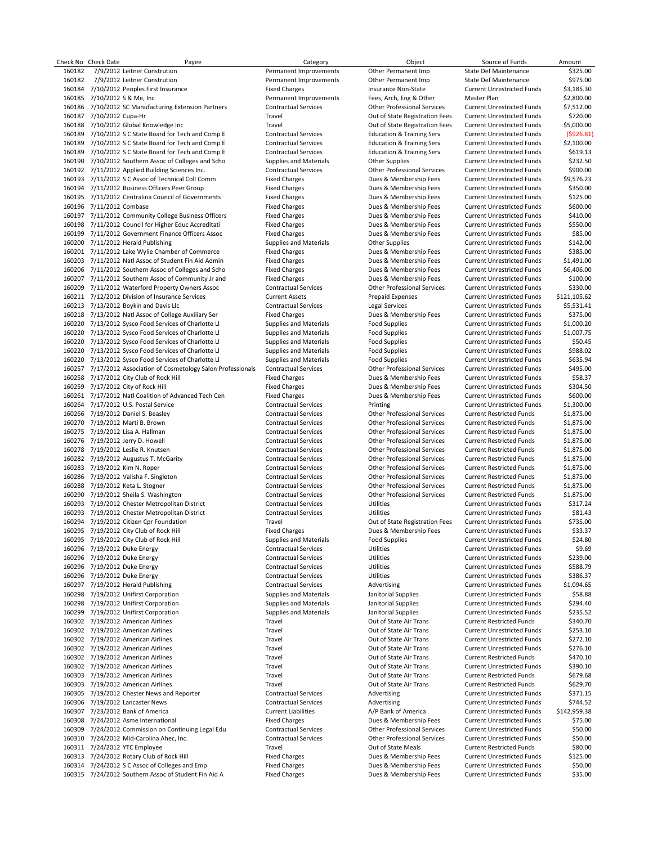|        | Check No Check Date          | Payee                                                           | Category                      | Object                               | Source of Funds                   | Amount       |
|--------|------------------------------|-----------------------------------------------------------------|-------------------------------|--------------------------------------|-----------------------------------|--------------|
| 160182 |                              | 7/9/2012 Leitner Constrution                                    | Permanent Improvements        | Other Permanent Imp                  | <b>State Def Maintenance</b>      | \$325.00     |
| 160182 |                              | 7/9/2012 Leitner Constrution                                    | Permanent Improvements        | Other Permanent Imp                  | <b>State Def Maintenance</b>      | \$975.00     |
|        |                              | 160184 7/10/2012 Peoples First Insurance                        | <b>Fixed Charges</b>          | Insurance Non-State                  | <b>Current Unrestricted Funds</b> | \$3,185.30   |
|        | 160185 7/10/2012 S & Me, Inc |                                                                 | Permanent Improvements        | Fees, Arch, Eng & Other              | Master Plan                       | \$2.800.00   |
|        |                              |                                                                 |                               |                                      |                                   |              |
|        |                              | 160186 7/10/2012 SC Manufacturing Extension Partners            | <b>Contractual Services</b>   | <b>Other Professional Services</b>   | <b>Current Unrestricted Funds</b> | \$7,512.00   |
|        | 160187 7/10/2012 Cupa-Hr     |                                                                 | Travel                        | Out of State Registration Fees       | <b>Current Unrestricted Funds</b> | \$720.00     |
|        |                              | 160188 7/10/2012 Global Knowledge Inc                           | Travel                        | Out of State Registration Fees       | <b>Current Unrestricted Funds</b> | \$5,000.00   |
|        |                              | 160189 7/10/2012 S C State Board for Tech and Comp E            | <b>Contractual Services</b>   | <b>Education &amp; Training Serv</b> | <b>Current Unrestricted Funds</b> | ( \$926.81)  |
|        |                              | 160189 7/10/2012 S C State Board for Tech and Comp E            | <b>Contractual Services</b>   | <b>Education &amp; Training Serv</b> | <b>Current Unrestricted Funds</b> | \$2,100.00   |
|        |                              | 160189 7/10/2012 S C State Board for Tech and Comp E            | <b>Contractual Services</b>   | <b>Education &amp; Training Serv</b> | <b>Current Unrestricted Funds</b> | \$619.13     |
|        |                              | 160190 7/10/2012 Southern Assoc of Colleges and Scho            | Supplies and Materials        | <b>Other Supplies</b>                | <b>Current Unrestricted Funds</b> | \$232.50     |
|        |                              |                                                                 |                               |                                      |                                   |              |
|        |                              | 160192 7/11/2012 Applied Building Sciences Inc.                 | <b>Contractual Services</b>   | <b>Other Professional Services</b>   | <b>Current Unrestricted Funds</b> | \$900.00     |
|        |                              | 160193 7/11/2012 S C Assoc of Technical Coll Comm               | <b>Fixed Charges</b>          | Dues & Membership Fees               | <b>Current Unrestricted Funds</b> | \$9,576.23   |
|        |                              | 160194 7/11/2012 Business Officers Peer Group                   | <b>Fixed Charges</b>          | Dues & Membership Fees               | <b>Current Unrestricted Funds</b> | \$350.00     |
|        |                              | 160195 7/11/2012 Centralina Council of Governments              | <b>Fixed Charges</b>          | Dues & Membership Fees               | <b>Current Unrestricted Funds</b> | \$125.00     |
|        | 160196 7/11/2012 Combase     |                                                                 | <b>Fixed Charges</b>          | Dues & Membership Fees               | <b>Current Unrestricted Funds</b> | \$600.00     |
|        |                              | 160197 7/11/2012 Community College Business Officers            | <b>Fixed Charges</b>          | Dues & Membership Fees               | <b>Current Unrestricted Funds</b> | \$410.00     |
|        |                              |                                                                 |                               |                                      |                                   |              |
|        |                              | 160198 7/11/2012 Council for Higher Educ Accreditati            | <b>Fixed Charges</b>          | Dues & Membership Fees               | <b>Current Unrestricted Funds</b> | \$550.00     |
|        |                              | 160199 7/11/2012 Government Finance Officers Assoc              | <b>Fixed Charges</b>          | Dues & Membership Fees               | <b>Current Unrestricted Funds</b> | \$85.00      |
|        |                              | 160200 7/11/2012 Herald Publishing                              | Supplies and Materials        | <b>Other Supplies</b>                | <b>Current Unrestricted Funds</b> | \$142.00     |
|        |                              | 160201 7/11/2012 Lake Wylie Chamber of Commerce                 | <b>Fixed Charges</b>          | Dues & Membership Fees               | <b>Current Unrestricted Funds</b> | \$385.00     |
|        |                              | 160203 7/11/2012 Natl Assoc of Student Fin Aid Admin            | <b>Fixed Charges</b>          | Dues & Membership Fees               | <b>Current Unrestricted Funds</b> | \$1,491.00   |
|        |                              | 160206 7/11/2012 Southern Assoc of Colleges and Scho            | <b>Fixed Charges</b>          | Dues & Membership Fees               | <b>Current Unrestricted Funds</b> | \$6,406.00   |
|        |                              | 160207 7/11/2012 Southern Assoc of Community Jr and             |                               |                                      | <b>Current Unrestricted Funds</b> |              |
|        |                              |                                                                 | <b>Fixed Charges</b>          | Dues & Membership Fees               |                                   | \$100.00     |
|        |                              | 160209 7/11/2012 Waterford Property Owners Assoc                | <b>Contractual Services</b>   | <b>Other Professional Services</b>   | <b>Current Unrestricted Funds</b> | \$330.00     |
|        |                              | 160211 7/12/2012 Division of Insurance Services                 | <b>Current Assets</b>         | <b>Prepaid Expenses</b>              | <b>Current Unrestricted Funds</b> | \$121,105.62 |
|        |                              | 160213 7/13/2012 Boykin and Davis Llc                           | <b>Contractual Services</b>   | <b>Legal Services</b>                | <b>Current Unrestricted Funds</b> | \$5,531.41   |
|        |                              | 160218 7/13/2012 Natl Assoc of College Auxiliary Ser            | <b>Fixed Charges</b>          | Dues & Membership Fees               | <b>Current Unrestricted Funds</b> | \$375.00     |
|        |                              | 160220 7/13/2012 Sysco Food Services of Charlotte LI            | Supplies and Materials        | <b>Food Supplies</b>                 | <b>Current Unrestricted Funds</b> | \$1,000.20   |
|        |                              | 160220 7/13/2012 Sysco Food Services of Charlotte Ll            | Supplies and Materials        | <b>Food Supplies</b>                 | <b>Current Unrestricted Funds</b> | \$1,007.75   |
|        |                              |                                                                 |                               |                                      |                                   |              |
|        |                              | 160220 7/13/2012 Sysco Food Services of Charlotte LI            | Supplies and Materials        | Food Supplies                        | <b>Current Unrestricted Funds</b> | \$50.45      |
|        |                              | 160220 7/13/2012 Sysco Food Services of Charlotte LI            | Supplies and Materials        | <b>Food Supplies</b>                 | <b>Current Unrestricted Funds</b> | \$988.02     |
|        |                              | 160220 7/13/2012 Sysco Food Services of Charlotte LI            | Supplies and Materials        | <b>Food Supplies</b>                 | <b>Current Unrestricted Funds</b> | \$635.94     |
|        |                              | 160257 7/17/2012 Association of Cosmetology Salon Professionals | <b>Contractual Services</b>   | <b>Other Professional Services</b>   | <b>Current Unrestricted Funds</b> | \$495.00     |
|        |                              | 160258 7/17/2012 City Club of Rock Hill                         | <b>Fixed Charges</b>          | Dues & Membership Fees               | <b>Current Unrestricted Funds</b> | \$58.37      |
|        |                              |                                                                 |                               |                                      |                                   |              |
|        |                              | 160259 7/17/2012 City of Rock Hill                              | <b>Fixed Charges</b>          | Dues & Membership Fees               | <b>Current Unrestricted Funds</b> | \$304.50     |
|        |                              | 160261 7/17/2012 Natl Coalition of Advanced Tech Cen            | <b>Fixed Charges</b>          | Dues & Membership Fees               | <b>Current Unrestricted Funds</b> | \$600.00     |
|        |                              | 160264 7/17/2012 U.S. Postal Service                            | <b>Contractual Services</b>   | Printing                             | <b>Current Unrestricted Funds</b> | \$1,300.00   |
|        |                              | 160266 7/19/2012 Daniel S. Beasley                              | <b>Contractual Services</b>   | <b>Other Professional Services</b>   | <b>Current Restricted Funds</b>   | \$1,875.00   |
|        |                              | 160270 7/19/2012 Marti B. Brown                                 | <b>Contractual Services</b>   | <b>Other Professional Services</b>   | <b>Current Restricted Funds</b>   | \$1,875.00   |
|        |                              | 160275 7/19/2012 Lisa A. Hallman                                | <b>Contractual Services</b>   | <b>Other Professional Services</b>   | <b>Current Restricted Funds</b>   | \$1,875.00   |
|        |                              | 160276 7/19/2012 Jerry D. Howell                                | <b>Contractual Services</b>   | <b>Other Professional Services</b>   | <b>Current Restricted Funds</b>   | \$1,875.00   |
|        |                              |                                                                 |                               |                                      |                                   |              |
|        |                              | 160278 7/19/2012 Leslie R. Knutsen                              | <b>Contractual Services</b>   | <b>Other Professional Services</b>   | <b>Current Restricted Funds</b>   | \$1,875.00   |
|        |                              | 160282 7/19/2012 Augustus T. McGarity                           | <b>Contractual Services</b>   | <b>Other Professional Services</b>   | <b>Current Restricted Funds</b>   | \$1,875.00   |
|        |                              | 160283 7/19/2012 Kim N. Roper                                   | <b>Contractual Services</b>   | <b>Other Professional Services</b>   | <b>Current Restricted Funds</b>   | \$1,875.00   |
|        |                              | 160286 7/19/2012 Valisha F. Singleton                           | <b>Contractual Services</b>   | <b>Other Professional Services</b>   | <b>Current Restricted Funds</b>   | \$1,875.00   |
|        |                              | 160288 7/19/2012 Keta L. Stogner                                | <b>Contractual Services</b>   | <b>Other Professional Services</b>   | <b>Current Restricted Funds</b>   | \$1,875.00   |
|        |                              | 160290 7/19/2012 Sheila S. Washington                           | <b>Contractual Services</b>   | <b>Other Professional Services</b>   | <b>Current Restricted Funds</b>   | \$1,875.00   |
|        |                              |                                                                 |                               |                                      |                                   |              |
|        |                              | 160293 7/19/2012 Chester Metropolitan District                  | <b>Contractual Services</b>   | Utilities                            | <b>Current Unrestricted Funds</b> | \$317.24     |
|        |                              | 160293 7/19/2012 Chester Metropolitan District                  | <b>Contractual Services</b>   | Utilities                            | <b>Current Unrestricted Funds</b> | \$81.43      |
|        |                              | 160294 7/19/2012 Citizen Cpr Foundation                         | Travel                        | Out of State Registration Fees       | <b>Current Unrestricted Funds</b> | \$735.00     |
|        |                              | 160295 7/19/2012 City Club of Rock Hill                         | <b>Fixed Charges</b>          | Dues & Membership Fees               | <b>Current Unrestricted Funds</b> | \$33.37      |
|        |                              | 160295 7/19/2012 City Club of Rock Hill                         | <b>Supplies and Materials</b> | <b>Food Supplies</b>                 | <b>Current Unrestricted Funds</b> | \$24.80      |
|        |                              | 160296 7/19/2012 Duke Energy                                    | <b>Contractual Services</b>   | Utilities                            | <b>Current Unrestricted Funds</b> | \$9.69       |
|        |                              | 160296 7/19/2012 Duke Energy                                    | <b>Contractual Services</b>   |                                      | <b>Current Unrestricted Funds</b> |              |
|        |                              |                                                                 |                               | Utilities                            |                                   | \$239.00     |
|        |                              | 160296 7/19/2012 Duke Energy                                    | <b>Contractual Services</b>   | Utilities                            | <b>Current Unrestricted Funds</b> | \$588.79     |
|        |                              | 160296 7/19/2012 Duke Energy                                    | <b>Contractual Services</b>   | Utilities                            | <b>Current Unrestricted Funds</b> | \$386.37     |
|        |                              | 160297 7/19/2012 Herald Publishing                              | <b>Contractual Services</b>   | Advertising                          | <b>Current Unrestricted Funds</b> | \$1,094.65   |
|        |                              | 160298 7/19/2012 Unifirst Corporation                           | Supplies and Materials        | Janitorial Supplies                  | <b>Current Unrestricted Funds</b> | \$58.88      |
|        |                              | 160298 7/19/2012 Unifirst Corporation                           | Supplies and Materials        | Janitorial Supplies                  | <b>Current Unrestricted Funds</b> | \$294.40     |
|        |                              |                                                                 |                               |                                      |                                   |              |
|        |                              | 160299 7/19/2012 Unifirst Corporation                           | Supplies and Materials        | Janitorial Supplies                  | <b>Current Unrestricted Funds</b> | \$235.52     |
|        |                              | 160302 7/19/2012 American Airlines                              | Travel                        | Out of State Air Trans               | <b>Current Restricted Funds</b>   | \$340.70     |
|        |                              | 160302 7/19/2012 American Airlines                              | Travel                        | Out of State Air Trans               | <b>Current Unrestricted Funds</b> | \$253.10     |
|        |                              | 160302 7/19/2012 American Airlines                              | Travel                        | Out of State Air Trans               | <b>Current Unrestricted Funds</b> | \$272.10     |
|        |                              | 160302 7/19/2012 American Airlines                              | Travel                        | Out of State Air Trans               | <b>Current Unrestricted Funds</b> | \$276.10     |
|        |                              | 160302 7/19/2012 American Airlines                              | Travel                        | Out of State Air Trans               | <b>Current Restricted Funds</b>   | \$470.10     |
|        |                              |                                                                 |                               |                                      |                                   |              |
|        |                              | 160302 7/19/2012 American Airlines                              | Travel                        | Out of State Air Trans               | <b>Current Unrestricted Funds</b> | \$390.10     |
|        |                              | 160303 7/19/2012 American Airlines                              | Travel                        | Out of State Air Trans               | <b>Current Restricted Funds</b>   | \$679.68     |
|        |                              | 160303 7/19/2012 American Airlines                              | Travel                        | Out of State Air Trans               | <b>Current Restricted Funds</b>   | \$629.70     |
|        |                              | 160305 7/19/2012 Chester News and Reporter                      | <b>Contractual Services</b>   | Advertising                          | <b>Current Unrestricted Funds</b> | \$371.15     |
|        |                              | 160306 7/19/2012 Lancaster News                                 | <b>Contractual Services</b>   | Advertising                          | <b>Current Unrestricted Funds</b> | \$744.52     |
|        |                              | 160307 7/23/2012 Bank of America                                | <b>Current Liabilities</b>    | A/P Bank of America                  | <b>Current Unrestricted Funds</b> | \$142,959.38 |
|        |                              |                                                                 |                               |                                      |                                   |              |
|        |                              | 160308 7/24/2012 Asme International                             | <b>Fixed Charges</b>          | Dues & Membership Fees               | <b>Current Unrestricted Funds</b> | \$75.00      |
|        |                              | 160309 7/24/2012 Commission on Continuing Legal Edu             | <b>Contractual Services</b>   | <b>Other Professional Services</b>   | <b>Current Unrestricted Funds</b> | \$50.00      |
|        |                              | 160310 7/24/2012 Mid-Carolina Ahec, Inc.                        | <b>Contractual Services</b>   | <b>Other Professional Services</b>   | <b>Current Unrestricted Funds</b> | \$50.00      |
|        |                              | 160311 7/24/2012 YTC Employee                                   | Travel                        | Out of State Meals                   | <b>Current Restricted Funds</b>   | \$80.00      |
|        |                              | 160313 7/24/2012 Rotary Club of Rock Hill                       | <b>Fixed Charges</b>          | Dues & Membership Fees               | <b>Current Unrestricted Funds</b> | \$125.00     |
|        |                              | 160314 7/24/2012 S C Assoc of Colleges and Emp                  | <b>Fixed Charges</b>          | Dues & Membership Fees               | <b>Current Unrestricted Funds</b> | \$50.00      |
|        |                              |                                                                 |                               |                                      |                                   |              |
|        |                              | 160315 7/24/2012 Southern Assoc of Student Fin Aid A            | <b>Fixed Charges</b>          | Dues & Membership Fees               | <b>Current Unrestricted Funds</b> | \$35.00      |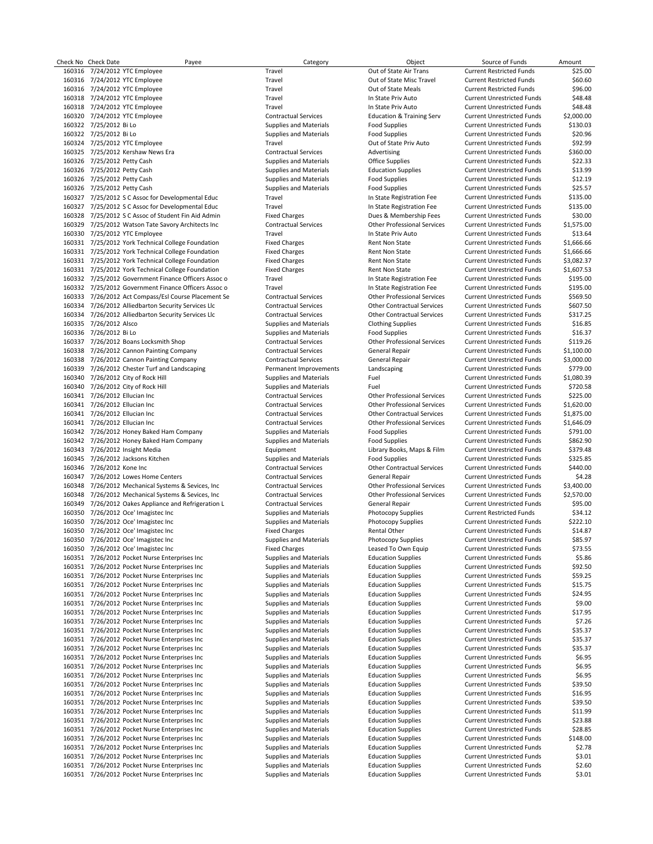Check No Check Date Payee Payee Check Payee Check Amount Category Category Check Amount Check No Check Date Amount 160316 7/24/2012 YTC Employee Travel Travel Cut of State Air Trans Current Restricted Funds \$25.00<br>160316 7/24/2012 YTC Employee Travel Travel Out of State Misc Travel Current Restricted Funds \$60.60 160316 7/24/2012 YTC Employee Travel Out of State Misc Travel Current Restricted Funds \$60.60 160316 7/24/2012 YTC Employee Travel Out of State Meals Current Restricted Funds \$96.00 160318 7/24/2012 YTC Employee 1 1608.48 Travel Travel 160318 Travel In State Priv Auto Current Unrestricted Funds<br>160318 7/24/2012 YTC Employee 1608.48 Travel Travel Travel In State Priv Auto Current Unrestricted Funds 548 1634) 7/24/2012 YTC Employee Travel Travel Travel Travel In State Priv Auto Current Unrestricted Funds 548.48<br>1600.00 17/24/2012 YTC Employee Contractual Services Education & Training Serv Current Unrestricted Funds 52,000 160320 7/24/2012 YTC Employee 160322 7/25/2012 Bi Lo Supplies and Materials Food Supplies Current Unrestricted Funds \$130.03 160322 7/25/2012 Bi Lo Supplies and Materials Food Supplies Current Unrestricted Funds \$20.96<br>160324 7/25/2012 YTC Employee Travel Travel Travel Travel Out of State Priv Auto Current Unrestricted Funds \$92.99 160324 7/25/2012 YTC Employee Samployee Travel Travel Travel Cutof State Priv Auto Current Unrestricted Funds<br>160325 7/25/2012 Kershaw News Era Samployee State Contractual Services Advertising Advertising Current Unrestric 1635/2012 Kershaw News Era **Contractual Services** Advertising Current Unrestricted Funds \$360.000 Contractual Services Advertising 160326 7/25/2012 Petty Cash Supplies and Materials Office Supplies Current Unrestricted Funds \$22.33 160326 7/25/2012 Petty Cash Supplies and Materials Education Supplies Current Unrestricted Funds \$13.99 160326 7/25/2012 Petty Cash Supplies and Materials Food Supplies Current Unrestricted Funds \$12.19 160326 7/25/2012 Petty Cash Supplies and Materials Food Supplies Current Unrestricted Funds \$25.57 160327 7/25/2012 S C Assoc for Developmental Educ<br>160327 1725/2012 S C Assoc for Developmental Educ Travel Travel In State Registration Fee Current Unrestricted Funds \$135.00 160327 7/25/2012 S C Assoc for Developmental Educ Travel Travel Travel In State Registration Fee 160328 7/25/2012 S C Assoc of Student Fin Aid Admin Fixed Charges Dues & Membership Fees Current Unrestricted Funds \$30.00 160329 7/25/2012 Watson Tate Savory Architects Inc Contractual Services Other Professional Services Current Unrestricted Funds \$1,575.00 160330 7/25/2012 YTC Employee Current Unrestricted Funds (1608) 160310 7/25/2012 YTC Employee Current Unrestricted Funds (1606.66<br>160331 7/25/2012 York Technical College Foundation Fixed Charges Current Unrestricted Funds 7/25/2012 York Technical College Foundation 160331 7/25/2012 York Technical College Foundation Fixed Charges Rent Non State Current Unrestricted Funds \$1,666.66<br>160331 7/25/2012 York Technical College Foundation Fixed Charges Rent Non State Current Unrestricted Fund 160331 7/25/2012 York Technical College Foundation Fixed Charges Rent Non State Current Unrestricted Funds 53,082.37<br>160331 7/25/2012 York Technical College Foundation Fixed Charges Rent Non State Current Unrestricted Fund 7/25/2012 York Technical College Foundation 160332 7/25/2012 Government Finance Officers Assoc o Travel In State Registration Fee Current Unrestricted Funds \$195.00 160332 7/25/2012 Government Finance Officers Assoc o Travel In State Registration Fee 160333 7/26/2012 Act Compass/Esl Course Placement Se Contractual Services Other Professional Services Current Unrestricted Funds \$569.50 160334 7/26/2012 Alliedbarton Security Services Llc Contractual Services Other Contractual Services Current Unrestricted Funds \$607.50 160334 7/26/2012 Alliedbarton Security Services Llc Contractual Services Other Contractual Services Current Unrestricted Funds \$317.25 160335 7/26/2012 Alsco 16085 16085 16085 Supplies and Materials Current Unrestricted Funds 16085 16085 16085 1<br>160336 7/26/2012 Bilo 16086 16.37 Supplies and Materials 1600 Supplies Current Unrestricted Funds 16.37 160337 7/26/2012 Boans Locksmith Shop Contractual Services Other Professional Services Current Unrestricted Funds \$119.26 160338 7/26/2012 Cannon Painting Company Contractual Services General Repair Current Unrestricted Funds \$1,100.00 160338 7/26/2012 Cannon Painting Company Contractual Services General Repair General Repair Current Unrestricted Funds \$3,000.00<br>160339 7/26/2012 Chester Turf and Landscaping Permanent Improvements Landscaping Current Unre 7/26/2012 Chester Turf and Landscaping 160340 7/26/2012 City of Rock Hill Supplies and Materials Fuel Current Unrestricted Funds \$1,080.39 160340 7/26/2012 City of Rock Hill Supplies and Materials Fuel Current Unrestricted Funds \$720.58 160341 7/26/2012 Ellucian Inc Contractual Services Other Professional Services Current Unrestricted Funds \$225.00 160341 7/26/2012 Ellucian Inc Contractual Services Other Contractual Services Current Unrestricted Funds \$1,875.00 160341 7/26/2012 Ellucian Inc Contractual Services Other Professional Services Current Unrestricted Funds \$1,646.09 160342 7/26/2012 Honey Baked Ham Company Supplies and Materials Food Supplies Current Unrestricted Funds \$791.00 160342 7/26/2012 Honey Baked Ham Company Supplies and Materials Food Supplies Current Unrestricted Funds \$862.90<br>160343 7/26/2012 Insight Media S379.48 Supplies Funding Equipment Library Books, Maps & Film Current Unrestri 160343 7/26/2012 Insight Media Equipment Library Books, Maps & Film Current Unrestricted Funds \$379.48 160345 7/26/2012 Jacksons Kitchen Supplies and Materials Food Supplies Current Unrestricted Funds \$325.85 160347 7/26/2012 Lowes Home Centers Contractual Services General Repair Current Unrestricted Funds \$4.28 160348 7/26/2012 Mechanical Systems & Sevices, Inc Contractual Services Other Professional Services Current Unrestricted Funds \$3,400.00 160348 7/26/2012 Mechanical Systems & Sevices, Inc Contractual Services Other Professional Services Current Unrestricted Funds \$2,570.00 7/26/2012 Oakes Appliance and Refrigeration L 160350 7/26/2012 Oce' Imagistec Inc Supplies and Materials Photocopy Supplies Current Restricted Funds \$34.12 160350 7/26/2012 Oce' Imagistec Inc Supplies and Materials Photocopy Supplies Current Unrestricted Funds \$222.10 160350 7/26/2012 Oce' Imagistec Inc Fixed Charges Rental Other Current Unrestricted Funds \$14.87 160350 7/26/2012 Oce' Imagistec Inc Supplies and Materials Photocopy Supplies Current Unrestricted Funds \$85.97 160350 7/26/2012 Oce' Imagistec Inc Company of The Charges Leased To Own Equip Current Unrestricted Funds 573.55<br>160351 7/26/2012 Pocket Nurse Enterprises Inc State State Supplies and Materials Education Supplies Current U 1/26/2012 Pocket Nurse Enterprises Inc Supplies and Materials Education Supplies Current Unrestricted Funds \$5.867<br>1/26/2012 Pocket Nurse Enterprises Inc Supplies and Materials Education Supplies Current Unrestricted Funds 160351 7/26/2012 Pocket Nurse Enterprises Inc Supplies and Materials Education Supplies Current Unrestricted Funds \$92.50 160351 7/26/2012 Pocket Nurse Enterprises Inc Supplies and Materials Education Supplies Current Unrestricted Funds \$59.25 160351 7/26/2012 Pocket Nurse Enterprises Inc Supplies and Materials Education Supplies Current Unrestricted Funds \$15.75 160351 7/26/2012 Pocket Nurse Enterprises Inc 160351 7/26/2012 Pocket Nurse Enterprises Inc Supplies and Materials Education Supplies Current Unrestricted Funds \$9.00 160351 7/26/2012 Pocket Nurse Enterprises Inc Supplies and Materials Education Supplies Current Unrestricted Funds \$17.95 160351 7/26/2012 Pocket Nurse Enterprises Inc Supplies and Materials Education Supplies Current Unrestricted Funds \$7.26 160351 7/26/2012 Pocket Nurse Enterprises Inc Supplies and Materials Education Supplies Current Unrestricted Funds \$35.37 160351 7/26/2012 Pocket Nurse Enterprises Inc Supplies and Materials Education Supplies Current Unrestricted Funds \$35.37 160351 7/26/2012 Pocket Nurse Enterprises Inc Supplies and Materials Education Supplies Current Unrestricted Funds \$35.37 160351 7/26/2012 Pocket Nurse Enterprises Inc Supplies and Materials Education Supplies Current Unrestricted Funds \$6.95<br>160351 7/26/2012 Pocket Nurse Enterprises Inc Supplies and Materials Education Supplies Current Unres 7/26/2012 Pocket Nurse Enterprises Inc 160351 7/26/2012 Pocket Nurse Enterprises Inc Supplies and Materials Education Supplies Current Unrestricted Funds \$6.95 160351 7/26/2012 Pocket Nurse Enterprises Inc Supplies and Materials 160351 7/26/2012 Pocket Nurse Enterprises Inc Supplies and Materials Education Supplies Current Unrestricted Funds \$16.95 160351 7/26/2012 Pocket Nurse Enterprises Inc Supplies and Materials Education Supplies Current Unrestricted Funds \$39.50 160351 7/26/2012 Pocket Nurse Enterprises Inc Supplies and Materials Education Supplies Current Unrestricted Funds \$11.99 166/2012 Pocket Nurse Enterprises Inc Supplies and Materials Education Supplies Current Unrestricted Funds (23.887)<br>166/2012 Pocket Nurse Enterprises Inc Saupplies and Materials Education Supplies Current Unrestricted Fund 160351 7/26/2012 Pocket Nurse Enterprises Inc 160351 7/26/2012 Pocket Nurse Enterprises Inc Supplies and Materials Education Supplies Current Unrestricted Funds \$148.00 160351 7/26/2012 Pocket Nurse Enterprises Inc Supplies and Materials Education Supplies Current Unrestricted Funds \$2.78 160351 7/26/2012 Pocket Nurse Enterprises Inc 160351 7/26/2012 Pocket Nurse Enterprises Inc Supplies and Materials Education Supplies Current Unrestricted Funds \$2.60 160351 7/26/2012 Pocket Nurse Enterprises Inc Supplies and Materials Education Supplies Current Unrestricted Funds \$3.01

160336 7/26/2012 Bi Lo Supplies and Materials Food Supplies Current Unrestricted Funds \$16.37 Current Unrestricted Funds Current Unrestricted Funds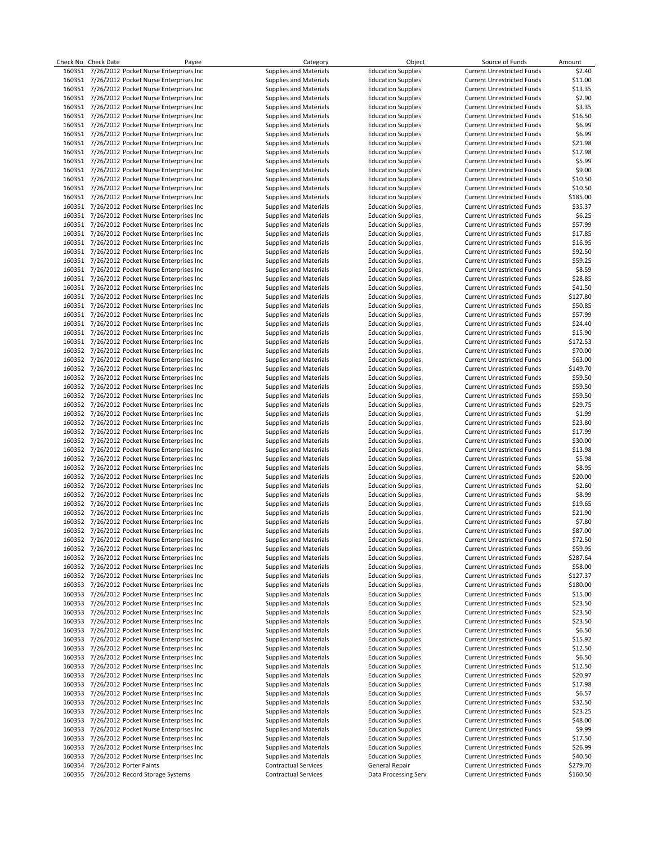|        | Check No Check Date | Payee                                         | Category                      | Object                    | Source of Funds                   | Amount   |
|--------|---------------------|-----------------------------------------------|-------------------------------|---------------------------|-----------------------------------|----------|
| 160351 |                     | 7/26/2012 Pocket Nurse Enterprises Inc        | <b>Supplies and Materials</b> | <b>Education Supplies</b> | <b>Current Unrestricted Funds</b> | \$2.40   |
|        |                     | 160351 7/26/2012 Pocket Nurse Enterprises Inc | Supplies and Materials        | <b>Education Supplies</b> | <b>Current Unrestricted Funds</b> | \$11.00  |
|        |                     | 160351 7/26/2012 Pocket Nurse Enterprises Inc | <b>Supplies and Materials</b> | <b>Education Supplies</b> | <b>Current Unrestricted Funds</b> | \$13.35  |
|        |                     | 160351 7/26/2012 Pocket Nurse Enterprises Inc | Supplies and Materials        | <b>Education Supplies</b> | <b>Current Unrestricted Funds</b> | \$2.90   |
|        |                     | 160351 7/26/2012 Pocket Nurse Enterprises Inc | <b>Supplies and Materials</b> | <b>Education Supplies</b> | <b>Current Unrestricted Funds</b> | \$3.35   |
|        |                     | 160351 7/26/2012 Pocket Nurse Enterprises Inc | <b>Supplies and Materials</b> | <b>Education Supplies</b> | <b>Current Unrestricted Funds</b> | \$16.50  |
|        |                     | 160351 7/26/2012 Pocket Nurse Enterprises Inc | <b>Supplies and Materials</b> | <b>Education Supplies</b> | <b>Current Unrestricted Funds</b> | \$6.99   |
|        |                     | 160351 7/26/2012 Pocket Nurse Enterprises Inc | <b>Supplies and Materials</b> | <b>Education Supplies</b> | <b>Current Unrestricted Funds</b> | \$6.99   |
|        |                     | 160351 7/26/2012 Pocket Nurse Enterprises Inc | <b>Supplies and Materials</b> | <b>Education Supplies</b> | <b>Current Unrestricted Funds</b> | \$21.98  |
|        |                     |                                               |                               |                           |                                   |          |
|        |                     | 160351 7/26/2012 Pocket Nurse Enterprises Inc | <b>Supplies and Materials</b> | <b>Education Supplies</b> | <b>Current Unrestricted Funds</b> | \$17.98  |
| 160351 |                     | 7/26/2012 Pocket Nurse Enterprises Inc        | <b>Supplies and Materials</b> | <b>Education Supplies</b> | <b>Current Unrestricted Funds</b> | \$5.99   |
|        |                     | 160351 7/26/2012 Pocket Nurse Enterprises Inc | <b>Supplies and Materials</b> | <b>Education Supplies</b> | <b>Current Unrestricted Funds</b> | \$9.00   |
| 160351 |                     | 7/26/2012 Pocket Nurse Enterprises Inc        | <b>Supplies and Materials</b> | <b>Education Supplies</b> | <b>Current Unrestricted Funds</b> | \$10.50  |
|        |                     | 160351 7/26/2012 Pocket Nurse Enterprises Inc | <b>Supplies and Materials</b> | <b>Education Supplies</b> | <b>Current Unrestricted Funds</b> | \$10.50  |
|        |                     | 160351 7/26/2012 Pocket Nurse Enterprises Inc | <b>Supplies and Materials</b> | <b>Education Supplies</b> | <b>Current Unrestricted Funds</b> | \$185.00 |
|        |                     | 160351 7/26/2012 Pocket Nurse Enterprises Inc | <b>Supplies and Materials</b> | <b>Education Supplies</b> | <b>Current Unrestricted Funds</b> | \$35.37  |
|        |                     | 160351 7/26/2012 Pocket Nurse Enterprises Inc | <b>Supplies and Materials</b> | <b>Education Supplies</b> | <b>Current Unrestricted Funds</b> | \$6.25   |
| 160351 |                     | 7/26/2012 Pocket Nurse Enterprises Inc        | <b>Supplies and Materials</b> | <b>Education Supplies</b> | <b>Current Unrestricted Funds</b> | \$57.99  |
|        |                     | 160351 7/26/2012 Pocket Nurse Enterprises Inc | <b>Supplies and Materials</b> | <b>Education Supplies</b> | <b>Current Unrestricted Funds</b> | \$17.85  |
|        |                     |                                               |                               |                           |                                   |          |
|        |                     | 160351 7/26/2012 Pocket Nurse Enterprises Inc | Supplies and Materials        | <b>Education Supplies</b> | <b>Current Unrestricted Funds</b> | \$16.95  |
|        |                     | 160351 7/26/2012 Pocket Nurse Enterprises Inc | <b>Supplies and Materials</b> | <b>Education Supplies</b> | <b>Current Unrestricted Funds</b> | \$92.50  |
|        |                     | 160351 7/26/2012 Pocket Nurse Enterprises Inc | <b>Supplies and Materials</b> | <b>Education Supplies</b> | <b>Current Unrestricted Funds</b> | \$59.25  |
| 160351 |                     | 7/26/2012 Pocket Nurse Enterprises Inc        | Supplies and Materials        | <b>Education Supplies</b> | <b>Current Unrestricted Funds</b> | \$8.59   |
|        |                     | 160351 7/26/2012 Pocket Nurse Enterprises Inc | <b>Supplies and Materials</b> | <b>Education Supplies</b> | <b>Current Unrestricted Funds</b> | \$28.85  |
|        |                     | 160351 7/26/2012 Pocket Nurse Enterprises Inc | <b>Supplies and Materials</b> | <b>Education Supplies</b> | <b>Current Unrestricted Funds</b> | \$41.50  |
|        |                     | 160351 7/26/2012 Pocket Nurse Enterprises Inc | Supplies and Materials        | <b>Education Supplies</b> | <b>Current Unrestricted Funds</b> | \$127.80 |
|        |                     | 160351 7/26/2012 Pocket Nurse Enterprises Inc | <b>Supplies and Materials</b> | <b>Education Supplies</b> | <b>Current Unrestricted Funds</b> | \$50.85  |
|        |                     | 160351 7/26/2012 Pocket Nurse Enterprises Inc | <b>Supplies and Materials</b> | <b>Education Supplies</b> | <b>Current Unrestricted Funds</b> | \$57.99  |
|        |                     | 160351 7/26/2012 Pocket Nurse Enterprises Inc | Supplies and Materials        | <b>Education Supplies</b> | <b>Current Unrestricted Funds</b> | \$24.40  |
|        |                     | 160351 7/26/2012 Pocket Nurse Enterprises Inc | <b>Supplies and Materials</b> | <b>Education Supplies</b> | <b>Current Unrestricted Funds</b> | \$15.90  |
|        |                     |                                               |                               |                           |                                   |          |
|        |                     | 160351 7/26/2012 Pocket Nurse Enterprises Inc | <b>Supplies and Materials</b> | <b>Education Supplies</b> | <b>Current Unrestricted Funds</b> | \$172.53 |
|        |                     | 160352 7/26/2012 Pocket Nurse Enterprises Inc | <b>Supplies and Materials</b> | <b>Education Supplies</b> | <b>Current Unrestricted Funds</b> | \$70.00  |
|        |                     | 160352 7/26/2012 Pocket Nurse Enterprises Inc | <b>Supplies and Materials</b> | <b>Education Supplies</b> | <b>Current Unrestricted Funds</b> | \$63.00  |
|        |                     | 160352 7/26/2012 Pocket Nurse Enterprises Inc | <b>Supplies and Materials</b> | <b>Education Supplies</b> | <b>Current Unrestricted Funds</b> | \$149.70 |
| 160352 |                     | 7/26/2012 Pocket Nurse Enterprises Inc        | Supplies and Materials        | <b>Education Supplies</b> | <b>Current Unrestricted Funds</b> | \$59.50  |
|        |                     | 160352 7/26/2012 Pocket Nurse Enterprises Inc | Supplies and Materials        | <b>Education Supplies</b> | <b>Current Unrestricted Funds</b> | \$59.50  |
|        |                     | 160352 7/26/2012 Pocket Nurse Enterprises Inc | <b>Supplies and Materials</b> | <b>Education Supplies</b> | <b>Current Unrestricted Funds</b> | \$59.50  |
|        |                     | 160352 7/26/2012 Pocket Nurse Enterprises Inc | <b>Supplies and Materials</b> | <b>Education Supplies</b> | <b>Current Unrestricted Funds</b> | \$29.75  |
|        |                     | 160352 7/26/2012 Pocket Nurse Enterprises Inc | <b>Supplies and Materials</b> | <b>Education Supplies</b> | <b>Current Unrestricted Funds</b> | \$1.99   |
| 160352 |                     | 7/26/2012 Pocket Nurse Enterprises Inc        | Supplies and Materials        | <b>Education Supplies</b> | <b>Current Unrestricted Funds</b> | \$23.80  |
|        |                     | 160352 7/26/2012 Pocket Nurse Enterprises Inc | <b>Supplies and Materials</b> | <b>Education Supplies</b> | <b>Current Unrestricted Funds</b> | \$17.99  |
|        |                     |                                               |                               |                           |                                   | \$30.00  |
|        |                     | 160352 7/26/2012 Pocket Nurse Enterprises Inc | <b>Supplies and Materials</b> | <b>Education Supplies</b> | <b>Current Unrestricted Funds</b> |          |
|        |                     | 160352 7/26/2012 Pocket Nurse Enterprises Inc | <b>Supplies and Materials</b> | <b>Education Supplies</b> | <b>Current Unrestricted Funds</b> | \$13.98  |
|        |                     | 160352 7/26/2012 Pocket Nurse Enterprises Inc | <b>Supplies and Materials</b> | <b>Education Supplies</b> | <b>Current Unrestricted Funds</b> | \$5.98   |
| 160352 |                     | 7/26/2012 Pocket Nurse Enterprises Inc        | <b>Supplies and Materials</b> | <b>Education Supplies</b> | <b>Current Unrestricted Funds</b> | \$8.95   |
|        |                     | 160352 7/26/2012 Pocket Nurse Enterprises Inc | <b>Supplies and Materials</b> | <b>Education Supplies</b> | <b>Current Unrestricted Funds</b> | \$20.00  |
|        |                     | 160352 7/26/2012 Pocket Nurse Enterprises Inc | <b>Supplies and Materials</b> | <b>Education Supplies</b> | <b>Current Unrestricted Funds</b> | \$2.60   |
|        |                     | 160352 7/26/2012 Pocket Nurse Enterprises Inc | <b>Supplies and Materials</b> | <b>Education Supplies</b> | <b>Current Unrestricted Funds</b> | \$8.99   |
|        |                     | 160352 7/26/2012 Pocket Nurse Enterprises Inc | <b>Supplies and Materials</b> | <b>Education Supplies</b> | <b>Current Unrestricted Funds</b> | \$19.65  |
| 160352 |                     | 7/26/2012 Pocket Nurse Enterprises Inc        | <b>Supplies and Materials</b> | <b>Education Supplies</b> | <b>Current Unrestricted Funds</b> | \$21.90  |
|        |                     | 160352 7/26/2012 Pocket Nurse Enterprises Inc | <b>Supplies and Materials</b> | <b>Education Supplies</b> | <b>Current Unrestricted Funds</b> | \$7.80   |
|        |                     | 160352 7/26/2012 Pocket Nurse Enterprises Inc | <b>Supplies and Materials</b> | <b>Education Supplies</b> | <b>Current Unrestricted Funds</b> | \$87.00  |
| 160352 |                     | 7/26/2012 Pocket Nurse Enterprises Inc        | <b>Supplies and Materials</b> | <b>Education Supplies</b> | <b>Current Unrestricted Funds</b> | \$72.50  |
|        |                     |                                               |                               |                           | <b>Current Unrestricted Funds</b> |          |
|        |                     | 160352 7/26/2012 Pocket Nurse Enterprises Inc | Supplies and Materials        | <b>Education Supplies</b> |                                   | \$59.95  |
| 160352 |                     | 7/26/2012 Pocket Nurse Enterprises Inc        | <b>Supplies and Materials</b> | <b>Education Supplies</b> | <b>Current Unrestricted Funds</b> | \$287.64 |
|        |                     | 160352 7/26/2012 Pocket Nurse Enterprises Inc | <b>Supplies and Materials</b> | <b>Education Supplies</b> | <b>Current Unrestricted Funds</b> | \$58.00  |
| 160352 |                     | 7/26/2012 Pocket Nurse Enterprises Inc        | Supplies and Materials        | <b>Education Supplies</b> | <b>Current Unrestricted Funds</b> | \$127.37 |
|        |                     | 160353 7/26/2012 Pocket Nurse Enterprises Inc | <b>Supplies and Materials</b> | <b>Education Supplies</b> | <b>Current Unrestricted Funds</b> | \$180.00 |
| 160353 |                     | 7/26/2012 Pocket Nurse Enterprises Inc        | <b>Supplies and Materials</b> | <b>Education Supplies</b> | <b>Current Unrestricted Funds</b> | \$15.00  |
| 160353 |                     | 7/26/2012 Pocket Nurse Enterprises Inc        | <b>Supplies and Materials</b> | <b>Education Supplies</b> | <b>Current Unrestricted Funds</b> | \$23.50  |
| 160353 |                     | 7/26/2012 Pocket Nurse Enterprises Inc        | Supplies and Materials        | <b>Education Supplies</b> | <b>Current Unrestricted Funds</b> | \$23.50  |
| 160353 |                     | 7/26/2012 Pocket Nurse Enterprises Inc        | Supplies and Materials        | <b>Education Supplies</b> | <b>Current Unrestricted Funds</b> | \$23.50  |
| 160353 |                     | 7/26/2012 Pocket Nurse Enterprises Inc        | <b>Supplies and Materials</b> | <b>Education Supplies</b> | <b>Current Unrestricted Funds</b> | \$6.50   |
| 160353 |                     | 7/26/2012 Pocket Nurse Enterprises Inc        | <b>Supplies and Materials</b> | <b>Education Supplies</b> | <b>Current Unrestricted Funds</b> | \$15.92  |
| 160353 |                     | 7/26/2012 Pocket Nurse Enterprises Inc        | Supplies and Materials        | <b>Education Supplies</b> | <b>Current Unrestricted Funds</b> | \$12.50  |
|        |                     |                                               |                               |                           |                                   |          |
| 160353 |                     | 7/26/2012 Pocket Nurse Enterprises Inc        | <b>Supplies and Materials</b> | <b>Education Supplies</b> | <b>Current Unrestricted Funds</b> | \$6.50   |
| 160353 |                     | 7/26/2012 Pocket Nurse Enterprises Inc        | Supplies and Materials        | <b>Education Supplies</b> | <b>Current Unrestricted Funds</b> | \$12.50  |
| 160353 |                     | 7/26/2012 Pocket Nurse Enterprises Inc        | Supplies and Materials        | <b>Education Supplies</b> | <b>Current Unrestricted Funds</b> | \$20.97  |
| 160353 |                     | 7/26/2012 Pocket Nurse Enterprises Inc        | Supplies and Materials        | <b>Education Supplies</b> | <b>Current Unrestricted Funds</b> | \$17.98  |
| 160353 |                     | 7/26/2012 Pocket Nurse Enterprises Inc        | <b>Supplies and Materials</b> | <b>Education Supplies</b> | <b>Current Unrestricted Funds</b> | \$6.57   |
| 160353 |                     | 7/26/2012 Pocket Nurse Enterprises Inc        | <b>Supplies and Materials</b> | <b>Education Supplies</b> | <b>Current Unrestricted Funds</b> | \$32.50  |
| 160353 |                     | 7/26/2012 Pocket Nurse Enterprises Inc        | Supplies and Materials        | <b>Education Supplies</b> | <b>Current Unrestricted Funds</b> | \$23.25  |
| 160353 |                     | 7/26/2012 Pocket Nurse Enterprises Inc        | <b>Supplies and Materials</b> | <b>Education Supplies</b> | <b>Current Unrestricted Funds</b> | \$48.00  |
| 160353 |                     | 7/26/2012 Pocket Nurse Enterprises Inc        | <b>Supplies and Materials</b> | <b>Education Supplies</b> | <b>Current Unrestricted Funds</b> | \$9.99   |
| 160353 |                     | 7/26/2012 Pocket Nurse Enterprises Inc        | Supplies and Materials        | <b>Education Supplies</b> | <b>Current Unrestricted Funds</b> | \$17.50  |
| 160353 |                     | 7/26/2012 Pocket Nurse Enterprises Inc        | Supplies and Materials        | <b>Education Supplies</b> | <b>Current Unrestricted Funds</b> | \$26.99  |
| 160353 |                     | 7/26/2012 Pocket Nurse Enterprises Inc        |                               | <b>Education Supplies</b> | <b>Current Unrestricted Funds</b> | \$40.50  |
|        |                     |                                               | <b>Supplies and Materials</b> |                           |                                   |          |
| 160354 |                     | 7/26/2012 Porter Paints                       | <b>Contractual Services</b>   | General Repair            | <b>Current Unrestricted Funds</b> | \$279.70 |
| 160355 |                     | 7/26/2012 Record Storage Systems              | <b>Contractual Services</b>   | Data Processing Serv      | <b>Current Unrestricted Funds</b> | \$160.50 |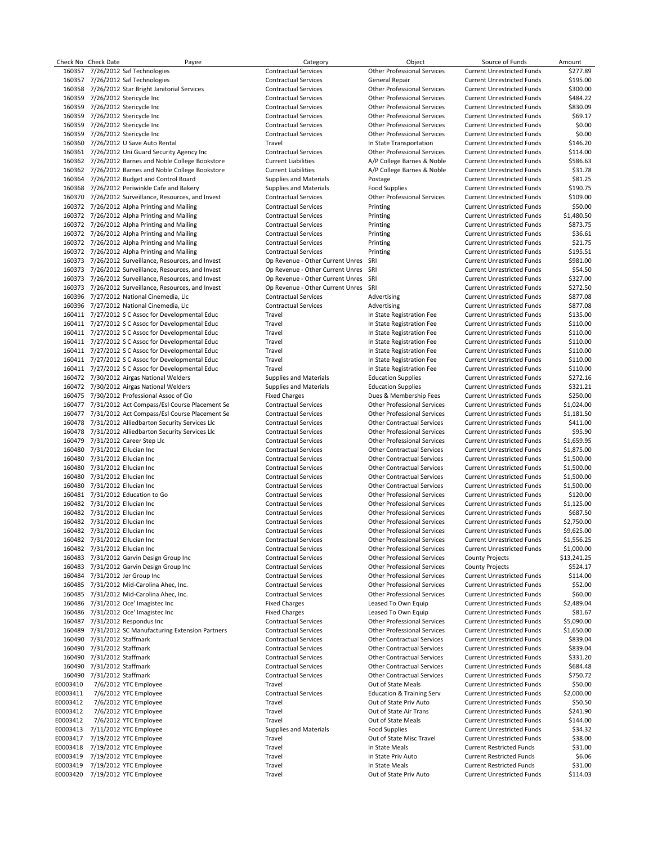Check No Check Date Payee Payee Check Payee Check Amount Category Category Check Amount Check No Check Date Amount 160357 7/26/2012 Saf Technologies Contractual Services Other Professional Services Current Unrestricted Funds \$277.89 160357 7/26/2012 Saf Technologies Contractual Services General Repair Current Unrestricted Funds \$195.00 160358 7/26/2012 Star Bright Janitorial Services Contractual Services Other Professional Services Current Unrestricted Funds \$300.00 160359 7/26/2012 Stericycle Inc Contractual Services Other Professional Services Current Unrestricted Funds \$484.22 160359 7/26/2012 Stericycle Inc Contractual Services Other Professional Services Current Unrestricted Funds \$830.09 160359 7/26/2012 Stericycle Inc Contractual Services Other Professional Services Current Unrestricted Funds \$0.00 160359 7/26/2012 Stericycle Inc Contractual Services Other Professional Services Current Unrestricted Funds \$0.00 160360 7/26/2012 U Save Auto Rental Current Unrestricted Funds (146.20 Favel Travel Current Unrestricted Funds<br>160361 7/26/2012 Uni Guard Security Agency Inc Contractual Services Current Unrestricted Funds (114.00 Current 160361 7/26/2012 Uni Guard Security Agency Inc Contractual Services Other Professional Services Current Unrestricted Funds \$114.00 160362 7/26/2012 Barnes and Noble College Bookstore Current Liabilities A/P College Barnes & Noble Current Unrestricted Funds \$586.63 160362 7/26/2012 Barnes and Noble College Bookstore Current Liabilities A/P College Barnes & Noble Current Unrestricted Funds \$31.78 160364 7/26/2012 Budget and Control Board Supplies and Materials Postage Current Unrestricted Funds \$81.25 160368 7/26/2012 Periwinkle Cafe and Bakery Supplies and Materials Food Supplies Current Unrestricted Funds \$190.75<br>160370 7/26/2012 Surveillance, Resources, and Invest Contractual Services Current Unrestricted Funds \$109. 160370 7/26/2012 Surveillance, Resources, and Invest Contractual Services Current Other Professional Services Current Unrestricted Funds 160372 7/26/2012 Alpha Printing and Mailing Contractual Services Printing Current Unrestricted Funds \$50.00 160372 7/26/2012 Alpha Printing and Mailing Contractual Services Printing Current Unrestricted Funds \$1,480.50 160372 7/26/2012 Alpha Printing and Mailing Contractual Services Printing Current Unrestricted Funds \$873.75 160372 7/26/2012 Alpha Printing and Mailing Contractual Services Printing Printing Current Unrestricted Funds 536.61<br>160372 7/26/2012 Alpha Printing and Mailing Contractual Services Printing Printing Current Unrestricted F 160372 7/26/2012 Alpha Printing and Mailing Contractual Services Printing Printing Contractual Services Printing Current Unrestricted Funds \$21.75 Printing and Mailing Current Contractual Services Printing Printing Service 160372 7/26/2012 Alpha Printing and Mailing Contractual Services Printing Current Unrestricted Funds \$195.51 160373 7/26/2012 Surveillance, Resources, and Invest Op Revenue - Other Current Unres SRI Current Unrestricted Funds \$981.00<br>160373 7/26/2012 Surveillance, Resources, and Invest Op Revenue - Other Current Unres SRI Current 7/26/2012 Surveillance, Resources, and Invest 160373 7/26/2012 Surveillance, Resources, and Invest Op Revenue - Other Current Unres SRI Current Unrestricted Funds \$327.00<br>160373 7/26/2012 Surveillance, Resources, and Invest Op Revenue - Other Current Unres SRI Current 160373 7/26/2012 Surveillance, Resources, and Invest Op Revenue - Other Current Unres SRI Current Unrestricted Funds 160396 7/27/2012 National Cinemedia, Llc Contractual Services Advertising Current Unrestricted Funds \$877.08<br>160396 7/27/2012 National Cinemedia, Llc Contractual Services Advertising Current Unrestricted Funds \$877.08 160396 7/27/2012 National Cinemedia, Llc Contractual Services Advertising Current Unrestricted Funds \$877.08 160411 7/27/2012 S C Assoc for Developmental Educ Travel In State Registration Fee Current Unrestricted Funds \$135.00 160411 7/27/2012 S C Assoc for Developmental Educ Travel In State Registration Fee Current Unrestricted Funds \$110.00 160411 7/27/2012 S C Assoc for Developmental Educ Travel In State Registration Fee Current Unrestricted Funds \$110.00 160411 7/27/2012 S C Assoc for Developmental Educ Travel In State Registration Fee Current Unrestricted Funds \$110.00 160411 7/27/2012 S C Assoc for Developmental Educ Travel In State Registration Fee Current Unrestricted Funds \$110.00 160411 7/27/2012 S C Assoc for Developmental Educ Travel In State Registration Fee Current Unrestricted Funds \$110.00 160411 7/27/2012 S C Assoc for Developmental Educ 160472 7/30/2012 Airgas National Welders Supplies and Materials Education Supplies Current Unrestricted Funds \$272.16 160472 7/30/2012 Airgas National Welders Supplies and Materials Education Supplies Current Unrestricted Funds \$321.21 160475 7/30/2012 Professional Assoc of Cio Fixed Charges Dues & Membership Fees Current Unrestricted Funds \$250.00 160477 7/31/2012 Act Compass/Esl Course Placement Se 160477 7/31/2012 Act Compass/Esl Course Placement Se Contractual Services Other Professional Services Current Unrestricted Funds \$1,181.50 160478 7/31/2012 Alliedbarton Security Services Llc Contractual Services Other Contractual Services Current Unrestricted Funds \$411.00 160478 7/31/2012 Alliedbarton Security Services Llc Contractual Services Other Professional Services Current Unrestricted Funds \$95.90 160479 7/31/2012 Career Step Llc Contractual Services Other Professional Services Current Unrestricted Funds \$1,659.95 160480 7/31/2012 Ellucian Inc Contractual Services Other Contractual Services Current Unrestricted Funds \$1,875.00 160480 7/31/2012 Ellucian Inc Contractual Services Other Contractual Services Current Unrestricted Funds \$1,500.00 160480 7/31/2012 Ellucian Inc Contractual Services Other Contractual Services Current Unrestricted Funds \$1,500.00 160480 7/31/2012 Ellucian Inc Contractual Services Other Contractual Services Current Unrestricted Funds \$1,500.00 160481 7/31/2012 Education to Go Contractual Services Other Professional Services Current Unrestricted Funds \$120.00 160482 7/31/2012 Ellucian Inc Contractual Services Other Professional Services Current Unrestricted Funds \$687.50 160482 7/31/2012 Ellucian Inc Contractual Services Other Professional Services Current Unrestricted Funds \$2,750.00 160482 7/31/2012 Ellucian Inc Contractual Services Other Professional Services Current Unrestricted Funds \$9,625.00 160482 7/31/2012 Ellucian Inc Contractual Services Other Professional Services Current Unrestricted Funds \$1,556.25 160482 7/31/2012 Ellucian Inc Contractual Services Other Professional Services Current Unrestricted Funds \$1,000.00 1631/2012 Garvin Design Group Inc The Contractual Services Counter Content Contractual Services County Projects 160483 7/31/2012 Garvin Design Group Inc Contractual Services Other Professional Services County Projects \$524.17 160484 7/31/2012 Jer Group Inc Contractual Services Other Professional Services Current Unrestricted Funds \$114.00 160485 7/31/2012 Mid‐Carolina Ahec, Inc. Contractual Services Other Professional Services Current Unrestricted Funds \$52.00 7/31/2012 Mid-Carolina Ahec, Inc. 160486 7/31/2012 Oce' Imagistec Inc Fixel Charges Fixed Charges Leased To Own Equip Current Unrestricted Funds<br>160486 7/31/2012 Oce' Imagistec Inc Current Unrestricted Funds S81.67 160486 7/31/2012 Oce' Imagistec Inc Fixed Charges Leased To Own Equip Current Unrestricted Funds \$81.67 160487 7/31/2012 Respondus Inc Contractual Services Other Professional Services Current Unrestricted Funds \$5,090.00 160489 7/31/2012 SC Manufacturing Extension Partners Contractual Services Other Professional Services Current Unrestricted Funds \$1,650.00 160490 7/31/2012 Staffmark Contractual Services Other Contractual Services Current Unrestricted Funds \$839.04 160490 7/31/2012 Staffmark Contractual Services Other Contractual Services Current Unrestricted Funds \$839.04 160490 7/31/2012 Staffmark Contractual Services Other Contractual Services Current Unrestricted Funds \$331.20 160490 7/31/2012 Staffmark Contractual Services Contractual Services Current Unrestricted Funds (16790.72 1609<br>16003410 7/6/2012 YTC Employee Current Unrestricted Funds (1690.00 E0012 YTC Employee Travel Travel Cut of State Meals Current Unrestricted Funds 550.00<br>216/2012 YTC Employee Travel Contractual Services Fulcation & Training Serv Current Unrestricted Funds 52.000 E0003411 7/6/2012 YTC Employee Contractual Services Education & Training Serv Current Unrestricted Funds \$2,000.00 E0003412 7/6/2012 YTC Employee Travel Out of State Priv Auto Current Unrestricted Funds \$50.50 E0003412 7/6/2012 YTC Employee Travel Travel Travel Out of State Air Trans Current Unrestricted Funds \$241.90<br>E0003412 7/6/2012 YTC Employee Travel Travel Travel Out of State Meals Current Unrestricted Funds \$144.00 Political Comploysing Complex of State Meals (State Meals Current Unrestricted Funds Current Unrestricted Funds<br>The State of State of State of State of State Meals (State Meals Current Unrestricted Funds (State 2014)<br>State E0003413 7/11/2012 YTC Employee Supplies and Materials Food Supplies Food Supplies Current Unrestricted Funds E0003417 7/19/2012 YTC Employee Travel Travel Travel Out of State Misc Travel Current Unrestricted Funds \$38.00 E0003418 7/19/2012 YTC Employee example and the State Travel Travel in State Meals Current Restricted Funds that the State State State State Privation of State Privation of Current Restricted Funds State Privation of Curre E0003419 7/19/2012 YTC Employee Travel In State Priv Auto Current Restricted Funds \$6.06 E0003419 7/19/2012 YTC Employee Travel In State Meals Current Restricted Funds \$31.00 E0003420 7/19/2012 YTC Employee Travel Travel Travel Out of State Priv Auto Current Unrestricted Funds \$114.03

Other Contractual Services Current Unrestricted Funds 0ther Professional Services Other Contractual Services

Current Unrestricted Funds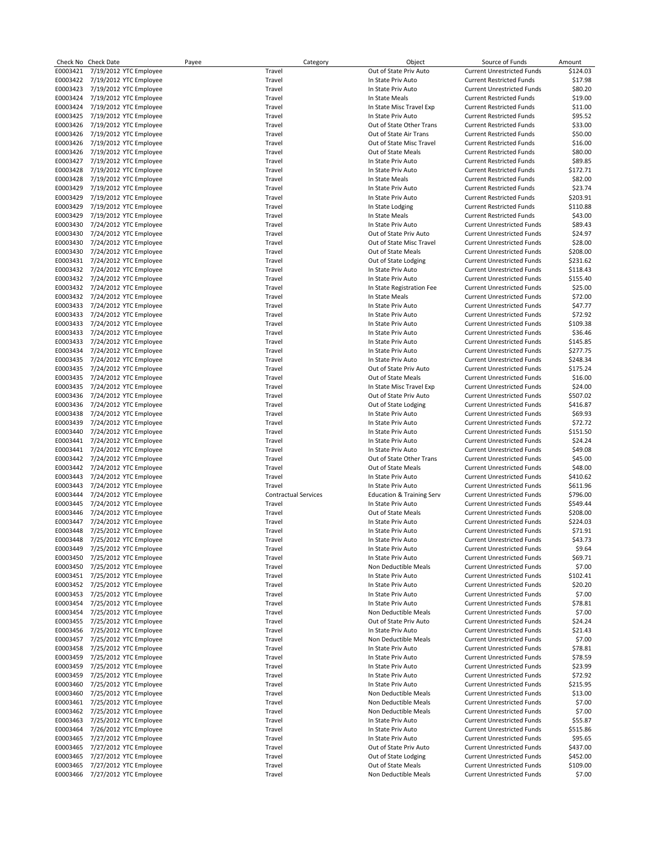|          | Check No Check Date             | Payee | Category                    | Object                               | Source of Funds                   | Amount   |
|----------|---------------------------------|-------|-----------------------------|--------------------------------------|-----------------------------------|----------|
| E0003421 | 7/19/2012 YTC Employee          |       | Travel                      | Out of State Priv Auto               | <b>Current Unrestricted Funds</b> | \$124.03 |
|          | E0003422 7/19/2012 YTC Employee |       | Travel                      | In State Priv Auto                   | <b>Current Restricted Funds</b>   | \$17.98  |
| E0003423 | 7/19/2012 YTC Employee          |       | Travel                      | In State Priv Auto                   | <b>Current Unrestricted Funds</b> | \$80.20  |
| E0003424 | 7/19/2012 YTC Employee          |       | Travel                      | In State Meals                       | <b>Current Restricted Funds</b>   | \$19.00  |
| E0003424 | 7/19/2012 YTC Employee          |       | Travel                      | In State Misc Travel Exp             | <b>Current Restricted Funds</b>   | \$11.00  |
| E0003425 | 7/19/2012 YTC Employee          |       | Travel                      | In State Priv Auto                   | <b>Current Restricted Funds</b>   | \$95.52  |
| E0003426 | 7/19/2012 YTC Employee          |       | Travel                      | Out of State Other Trans             | <b>Current Restricted Funds</b>   | \$33.00  |
| E0003426 | 7/19/2012 YTC Employee          |       | Travel                      | Out of State Air Trans               | <b>Current Restricted Funds</b>   | \$50.00  |
| E0003426 | 7/19/2012 YTC Employee          |       | Travel                      | Out of State Misc Travel             | <b>Current Restricted Funds</b>   | \$16.00  |
| E0003426 | 7/19/2012 YTC Employee          |       | Travel                      | Out of State Meals                   | <b>Current Restricted Funds</b>   | \$80.00  |
| E0003427 | 7/19/2012 YTC Employee          |       | Travel                      | In State Priv Auto                   | <b>Current Restricted Funds</b>   | \$89.85  |
| E0003428 | 7/19/2012 YTC Employee          |       | Travel                      | In State Priv Auto                   | <b>Current Restricted Funds</b>   | \$172.71 |
| E0003428 | 7/19/2012 YTC Employee          |       | Travel                      | In State Meals                       | <b>Current Restricted Funds</b>   | \$82.00  |
| E0003429 | 7/19/2012 YTC Employee          |       | Travel                      | In State Priv Auto                   | <b>Current Restricted Funds</b>   | \$23.74  |
| E0003429 | 7/19/2012 YTC Employee          |       | Travel                      | In State Priv Auto                   | <b>Current Restricted Funds</b>   | \$203.91 |
| E0003429 | 7/19/2012 YTC Employee          |       | Travel                      | In State Lodging                     | <b>Current Restricted Funds</b>   | \$110.88 |
| E0003429 | 7/19/2012 YTC Employee          |       | Travel                      | In State Meals                       | <b>Current Restricted Funds</b>   | \$43.00  |
| E0003430 | 7/24/2012 YTC Employee          |       | Travel                      | In State Priv Auto                   | <b>Current Unrestricted Funds</b> | \$89.43  |
| E0003430 | 7/24/2012 YTC Employee          |       | Travel                      | Out of State Priv Auto               | <b>Current Unrestricted Funds</b> | \$24.97  |
| E0003430 | 7/24/2012 YTC Employee          |       | Travel                      | Out of State Misc Travel             | <b>Current Unrestricted Funds</b> | \$28.00  |
| E0003430 | 7/24/2012 YTC Employee          |       | Travel                      | Out of State Meals                   | <b>Current Unrestricted Funds</b> | \$208.00 |
| E0003431 | 7/24/2012 YTC Employee          |       | Travel                      | Out of State Lodging                 | <b>Current Unrestricted Funds</b> | \$231.62 |
| E0003432 | 7/24/2012 YTC Employee          |       | Travel                      | In State Priv Auto                   | <b>Current Unrestricted Funds</b> | \$118.43 |
|          | E0003432 7/24/2012 YTC Employee |       | Travel                      | In State Priv Auto                   | <b>Current Unrestricted Funds</b> | \$155.40 |
| E0003432 | 7/24/2012 YTC Employee          |       | Travel                      | In State Registration Fee            | <b>Current Unrestricted Funds</b> | \$25.00  |
| E0003432 | 7/24/2012 YTC Employee          |       | Travel                      | In State Meals                       | <b>Current Unrestricted Funds</b> | \$72.00  |
| E0003433 | 7/24/2012 YTC Employee          |       | Travel                      | In State Priv Auto                   | <b>Current Unrestricted Funds</b> | \$47.77  |
| E0003433 | 7/24/2012 YTC Employee          |       | Travel                      | In State Priv Auto                   | <b>Current Unrestricted Funds</b> | \$72.92  |
| E0003433 | 7/24/2012 YTC Employee          |       | Travel                      | In State Priv Auto                   | <b>Current Unrestricted Funds</b> | \$109.38 |
| E0003433 | 7/24/2012 YTC Employee          |       | Travel                      | In State Priv Auto                   | <b>Current Unrestricted Funds</b> | \$36.46  |
| E0003433 | 7/24/2012 YTC Employee          |       | Travel                      | In State Priv Auto                   | <b>Current Unrestricted Funds</b> | \$145.85 |
| E0003434 | 7/24/2012 YTC Employee          |       | Travel                      | In State Priv Auto                   | <b>Current Unrestricted Funds</b> | \$277.75 |
| E0003435 | 7/24/2012 YTC Employee          |       | Travel                      | In State Priv Auto                   | <b>Current Unrestricted Funds</b> | \$248.34 |
| E0003435 | 7/24/2012 YTC Employee          |       | Travel                      | Out of State Priv Auto               | <b>Current Unrestricted Funds</b> | \$175.24 |
| E0003435 | 7/24/2012 YTC Employee          |       | Travel                      | Out of State Meals                   | <b>Current Unrestricted Funds</b> | \$16.00  |
| E0003435 | 7/24/2012 YTC Employee          |       | Travel                      | In State Misc Travel Exp             | <b>Current Unrestricted Funds</b> | \$24.00  |
| E0003436 | 7/24/2012 YTC Employee          |       | Travel                      | Out of State Priv Auto               | <b>Current Unrestricted Funds</b> | \$507.02 |
| E0003436 | 7/24/2012 YTC Employee          |       | Travel                      | Out of State Lodging                 | <b>Current Unrestricted Funds</b> | \$416.87 |
| E0003438 | 7/24/2012 YTC Employee          |       | Travel                      | In State Priv Auto                   | <b>Current Unrestricted Funds</b> | \$69.93  |
| E0003439 | 7/24/2012 YTC Employee          |       | Travel                      | In State Priv Auto                   | <b>Current Unrestricted Funds</b> | \$72.72  |
| E0003440 | 7/24/2012 YTC Employee          |       | Travel                      | In State Priv Auto                   | <b>Current Unrestricted Funds</b> | \$151.50 |
| E0003441 | 7/24/2012 YTC Employee          |       | Travel                      | In State Priv Auto                   | <b>Current Unrestricted Funds</b> | \$24.24  |
| E0003441 | 7/24/2012 YTC Employee          |       | Travel                      | In State Priv Auto                   | <b>Current Unrestricted Funds</b> | \$49.08  |
| E0003442 | 7/24/2012 YTC Employee          |       | Travel                      | Out of State Other Trans             | <b>Current Unrestricted Funds</b> | \$45.00  |
| E0003442 | 7/24/2012 YTC Employee          |       | Travel                      | Out of State Meals                   | <b>Current Unrestricted Funds</b> | \$48.00  |
| E0003443 | 7/24/2012 YTC Employee          |       | Travel                      | In State Priv Auto                   | <b>Current Unrestricted Funds</b> | \$410.62 |
| E0003443 | 7/24/2012 YTC Employee          |       | Travel                      | In State Priv Auto                   | <b>Current Unrestricted Funds</b> | \$611.96 |
| E0003444 | 7/24/2012 YTC Employee          |       | <b>Contractual Services</b> | <b>Education &amp; Training Serv</b> | <b>Current Unrestricted Funds</b> | \$796.00 |
| E0003445 | 7/24/2012 YTC Employee          |       | Travel                      | In State Priv Auto                   | <b>Current Unrestricted Funds</b> | \$549.44 |
| E0003446 | 7/24/2012 YTC Employee          |       | Travel                      | Out of State Meals                   | <b>Current Unrestricted Funds</b> | \$208.00 |
| E0003447 | 7/24/2012 YTC Employee          |       | Travel                      | In State Priv Auto                   | <b>Current Unrestricted Funds</b> | \$224.03 |
| E0003448 | 7/25/2012 YTC Employee          |       | Travel                      | In State Priv Auto                   | <b>Current Unrestricted Funds</b> | \$71.91  |
| E0003448 | 7/25/2012 YTC Employee          |       | Travel                      | In State Priv Auto                   | <b>Current Unrestricted Funds</b> | \$43.73  |
| E0003449 | 7/25/2012 YTC Employee          |       | Travel                      | In State Priv Auto                   | <b>Current Unrestricted Funds</b> | \$9.64   |
| E0003450 | 7/25/2012 YTC Employee          |       | Travel                      | In State Priv Auto                   | <b>Current Unrestricted Funds</b> | \$69.71  |
| E0003450 | 7/25/2012 YTC Employee          |       | Travel                      | Non Deductible Meals                 | <b>Current Unrestricted Funds</b> | \$7.00   |
| E0003451 | 7/25/2012 YTC Employee          |       | Travel                      | In State Priv Auto                   | <b>Current Unrestricted Funds</b> | \$102.41 |
| E0003452 | 7/25/2012 YTC Employee          |       | Travel                      | In State Priv Auto                   | <b>Current Unrestricted Funds</b> | \$20.20  |
| E0003453 | 7/25/2012 YTC Employee          |       | Travel                      | In State Priv Auto                   | <b>Current Unrestricted Funds</b> | \$7.00   |
| E0003454 | 7/25/2012 YTC Employee          |       | Travel                      | In State Priv Auto                   | <b>Current Unrestricted Funds</b> | \$78.81  |
| E0003454 | 7/25/2012 YTC Employee          |       | Travel                      | Non Deductible Meals                 | <b>Current Unrestricted Funds</b> | \$7.00   |
| E0003455 | 7/25/2012 YTC Employee          |       | Travel                      | Out of State Priv Auto               | <b>Current Unrestricted Funds</b> | \$24.24  |
| E0003456 | 7/25/2012 YTC Employee          |       | Travel                      | In State Priv Auto                   | <b>Current Unrestricted Funds</b> | \$21.43  |
| E0003457 | 7/25/2012 YTC Employee          |       | Travel                      | Non Deductible Meals                 | <b>Current Unrestricted Funds</b> | \$7.00   |
| E0003458 | 7/25/2012 YTC Employee          |       | Travel                      | In State Priv Auto                   | <b>Current Unrestricted Funds</b> | \$78.81  |
| E0003459 | 7/25/2012 YTC Employee          |       | Travel                      | In State Priv Auto                   | <b>Current Unrestricted Funds</b> | \$78.59  |
| E0003459 | 7/25/2012 YTC Employee          |       | Travel                      | In State Priv Auto                   | <b>Current Unrestricted Funds</b> | \$23.99  |
| E0003459 | 7/25/2012 YTC Employee          |       | Travel                      | In State Priv Auto                   | <b>Current Unrestricted Funds</b> | \$72.92  |
| E0003460 | 7/25/2012 YTC Employee          |       | Travel                      | In State Priv Auto                   | <b>Current Unrestricted Funds</b> | \$215.95 |
| E0003460 | 7/25/2012 YTC Employee          |       | Travel                      | Non Deductible Meals                 | <b>Current Unrestricted Funds</b> | \$13.00  |
| E0003461 | 7/25/2012 YTC Employee          |       | Travel                      | Non Deductible Meals                 | <b>Current Unrestricted Funds</b> | \$7.00   |
| E0003462 | 7/25/2012 YTC Employee          |       | Travel                      | Non Deductible Meals                 | <b>Current Unrestricted Funds</b> | \$7.00   |
| E0003463 | 7/25/2012 YTC Employee          |       | Travel                      | In State Priv Auto                   | <b>Current Unrestricted Funds</b> | \$55.87  |
| E0003464 | 7/26/2012 YTC Employee          |       | Travel                      | In State Priv Auto                   | <b>Current Unrestricted Funds</b> | \$515.86 |
| E0003465 | 7/27/2012 YTC Employee          |       | Travel                      | In State Priv Auto                   | <b>Current Unrestricted Funds</b> | \$95.65  |
| E0003465 | 7/27/2012 YTC Employee          |       | Travel                      | Out of State Priv Auto               | <b>Current Unrestricted Funds</b> | \$437.00 |
| E0003465 | 7/27/2012 YTC Employee          |       | Travel                      | Out of State Lodging                 | <b>Current Unrestricted Funds</b> | \$452.00 |
| E0003465 | 7/27/2012 YTC Employee          |       | Travel                      | Out of State Meals                   | <b>Current Unrestricted Funds</b> | \$109.00 |

E0003466 7/27/2012 YTC Employee Travel Non Deductible Meals Current Unrestricted Funds \$7.00